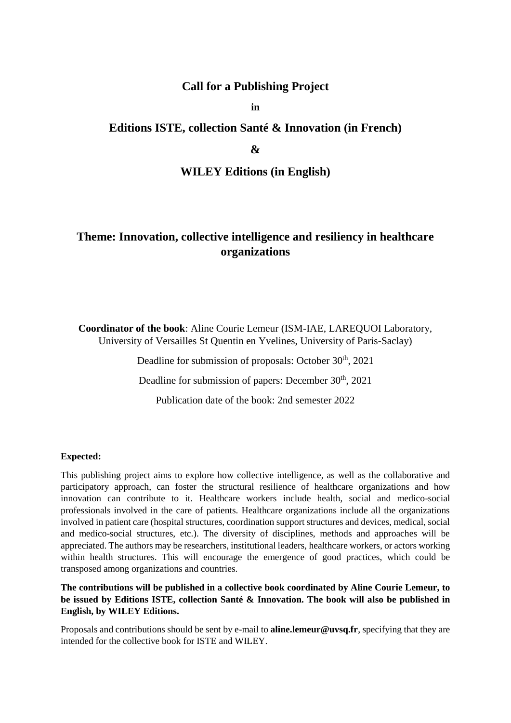# **Call for a Publishing Project**

**in**

# **Editions ISTE, collection Santé & Innovation (in French)**

## **&**

## **WILEY Editions (in English)**

# **Theme: Innovation, collective intelligence and resiliency in healthcare organizations**

**Coordinator of the book**: Aline Courie Lemeur (ISM-IAE, LAREQUOI Laboratory, University of Versailles St Quentin en Yvelines, University of Paris-Saclay)

Deadline for submission of proposals: October 30<sup>th</sup>, 2021

Deadline for submission of papers: December 30<sup>th</sup>, 2021

Publication date of the book: 2nd semester 2022

## **Expected:**

This publishing project aims to explore how collective intelligence, as well as the collaborative and participatory approach, can foster the structural resilience of healthcare organizations and how innovation can contribute to it. Healthcare workers include health, social and medico-social professionals involved in the care of patients. Healthcare organizations include all the organizations involved in patient care (hospital structures, coordination support structures and devices, medical, social and medico-social structures, etc.). The diversity of disciplines, methods and approaches will be appreciated. The authors may be researchers, institutional leaders, healthcare workers, or actors working within health structures. This will encourage the emergence of good practices, which could be transposed among organizations and countries.

**The contributions will be published in a collective book coordinated by Aline Courie Lemeur, to be issued by Editions ISTE, collection Santé & Innovation. The book will also be published in English, by WILEY Editions.**

Proposals and contributions should be sent by e-mail to **aline.lemeur@uvsq.fr**, specifying that they are intended for the collective book for ISTE and WILEY.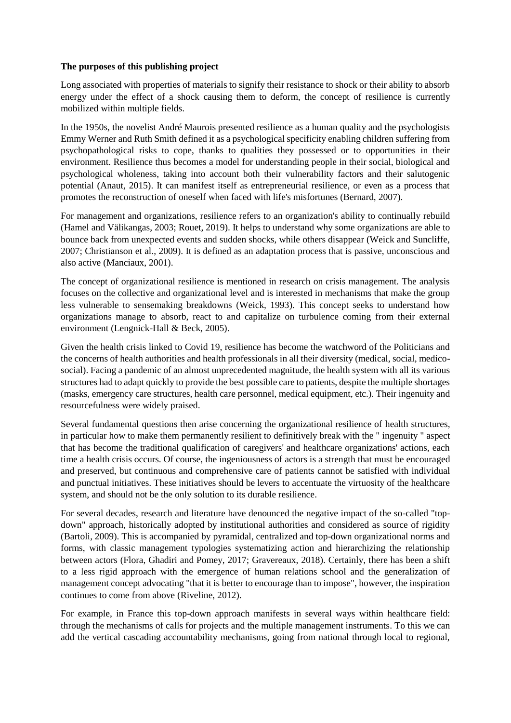## **The purposes of this publishing project**

Long associated with properties of materials to signify their resistance to shock or their ability to absorb energy under the effect of a shock causing them to deform, the concept of resilience is currently mobilized within multiple fields.

In the 1950s, the novelist André Maurois presented resilience as a human quality and the psychologists Emmy Werner and Ruth Smith defined it as a psychological specificity enabling children suffering from psychopathological risks to cope, thanks to qualities they possessed or to opportunities in their environment. Resilience thus becomes a model for understanding people in their social, biological and psychological wholeness, taking into account both their vulnerability factors and their salutogenic potential (Anaut, 2015). It can manifest itself as entrepreneurial resilience, or even as a process that promotes the reconstruction of oneself when faced with life's misfortunes (Bernard, 2007).

For management and organizations, resilience refers to an organization's ability to continually rebuild (Hamel and Välikangas, 2003; Rouet, 2019). It helps to understand why some organizations are able to bounce back from unexpected events and sudden shocks, while others disappear (Weick and Suncliffe, 2007; Christianson et al., 2009). It is defined as an adaptation process that is passive, unconscious and also active (Manciaux, 2001).

The concept of organizational resilience is mentioned in research on crisis management. The analysis focuses on the collective and organizational level and is interested in mechanisms that make the group less vulnerable to sensemaking breakdowns (Weick, 1993). This concept seeks to understand how organizations manage to absorb, react to and capitalize on turbulence coming from their external environment (Lengnick-Hall & Beck, 2005).

Given the health crisis linked to Covid 19, resilience has become the watchword of the Politicians and the concerns of health authorities and health professionals in all their diversity (medical, social, medicosocial). Facing a pandemic of an almost unprecedented magnitude, the health system with all its various structures had to adapt quickly to provide the best possible care to patients, despite the multiple shortages (masks, emergency care structures, health care personnel, medical equipment, etc.). Their ingenuity and resourcefulness were widely praised.

Several fundamental questions then arise concerning the organizational resilience of health structures, in particular how to make them permanently resilient to definitively break with the " ingenuity " aspect that has become the traditional qualification of caregivers' and healthcare organizations' actions, each time a health crisis occurs. Of course, the ingeniousness of actors is a strength that must be encouraged and preserved, but continuous and comprehensive care of patients cannot be satisfied with individual and punctual initiatives. These initiatives should be levers to accentuate the virtuosity of the healthcare system, and should not be the only solution to its durable resilience.

For several decades, research and literature have denounced the negative impact of the so-called "topdown" approach, historically adopted by institutional authorities and considered as source of rigidity (Bartoli, 2009). This is accompanied by pyramidal, centralized and top-down organizational norms and forms, with classic management typologies systematizing action and hierarchizing the relationship between actors (Flora, Ghadiri and Pomey, 2017; Gravereaux, 2018). Certainly, there has been a shift to a less rigid approach with the emergence of human relations school and the generalization of management concept advocating "that it is better to encourage than to impose", however, the inspiration continues to come from above (Riveline, 2012).

For example, in France this top-down approach manifests in several ways within healthcare field: through the mechanisms of calls for projects and the multiple management instruments. To this we can add the vertical cascading accountability mechanisms, going from national through local to regional,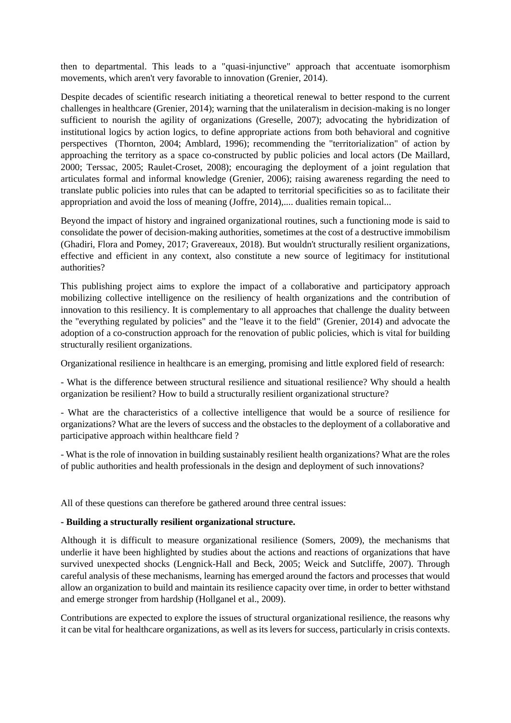then to departmental. This leads to a "quasi-injunctive" approach that accentuate isomorphism movements, which aren't very favorable to innovation (Grenier, 2014).

Despite decades of scientific research initiating a theoretical renewal to better respond to the current challenges in healthcare (Grenier, 2014); warning that the unilateralism in decision-making is no longer sufficient to nourish the agility of organizations (Greselle, 2007); advocating the hybridization of institutional logics by action logics, to define appropriate actions from both behavioral and cognitive perspectives (Thornton, 2004; Amblard, 1996); recommending the "territorialization" of action by approaching the territory as a space co-constructed by public policies and local actors (De Maillard, 2000; Terssac, 2005; Raulet-Croset, 2008); encouraging the deployment of a joint regulation that articulates formal and informal knowledge (Grenier, 2006); raising awareness regarding the need to translate public policies into rules that can be adapted to territorial specificities so as to facilitate their appropriation and avoid the loss of meaning (Joffre, 2014),.... dualities remain topical...

Beyond the impact of history and ingrained organizational routines, such a functioning mode is said to consolidate the power of decision-making authorities, sometimes at the cost of a destructive immobilism (Ghadiri, Flora and Pomey, 2017; Gravereaux, 2018). But wouldn't structurally resilient organizations, effective and efficient in any context, also constitute a new source of legitimacy for institutional authorities?

This publishing project aims to explore the impact of a collaborative and participatory approach mobilizing collective intelligence on the resiliency of health organizations and the contribution of innovation to this resiliency. It is complementary to all approaches that challenge the duality between the "everything regulated by policies" and the "leave it to the field" (Grenier, 2014) and advocate the adoption of a co-construction approach for the renovation of public policies, which is vital for building structurally resilient organizations.

Organizational resilience in healthcare is an emerging, promising and little explored field of research:

- What is the difference between structural resilience and situational resilience? Why should a health organization be resilient? How to build a structurally resilient organizational structure?

- What are the characteristics of a collective intelligence that would be a source of resilience for organizations? What are the levers of success and the obstacles to the deployment of a collaborative and participative approach within healthcare field ?

- What is the role of innovation in building sustainably resilient health organizations? What are the roles of public authorities and health professionals in the design and deployment of such innovations?

All of these questions can therefore be gathered around three central issues:

#### **- Building a structurally resilient organizational structure.**

Although it is difficult to measure organizational resilience (Somers, 2009), the mechanisms that underlie it have been highlighted by studies about the actions and reactions of organizations that have survived unexpected shocks (Lengnick-Hall and Beck, 2005; Weick and Sutcliffe, 2007). Through careful analysis of these mechanisms, learning has emerged around the factors and processes that would allow an organization to build and maintain its resilience capacity over time, in order to better withstand and emerge stronger from hardship (Hollganel et al., 2009).

Contributions are expected to explore the issues of structural organizational resilience, the reasons why it can be vital for healthcare organizations, as well as its levers for success, particularly in crisis contexts.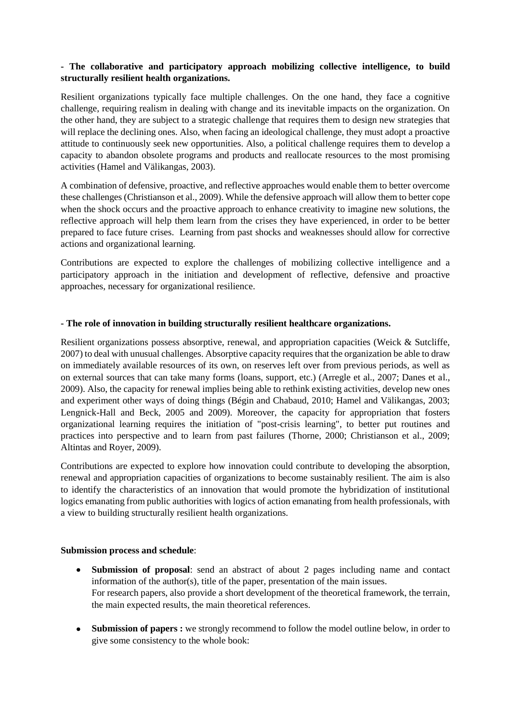## **- The collaborative and participatory approach mobilizing collective intelligence, to build structurally resilient health organizations.**

Resilient organizations typically face multiple challenges. On the one hand, they face a cognitive challenge, requiring realism in dealing with change and its inevitable impacts on the organization. On the other hand, they are subject to a strategic challenge that requires them to design new strategies that will replace the declining ones. Also, when facing an ideological challenge, they must adopt a proactive attitude to continuously seek new opportunities. Also, a political challenge requires them to develop a capacity to abandon obsolete programs and products and reallocate resources to the most promising activities (Hamel and Välikangas, 2003).

A combination of defensive, proactive, and reflective approaches would enable them to better overcome these challenges (Christianson et al., 2009). While the defensive approach will allow them to better cope when the shock occurs and the proactive approach to enhance creativity to imagine new solutions, the reflective approach will help them learn from the crises they have experienced, in order to be better prepared to face future crises. Learning from past shocks and weaknesses should allow for corrective actions and organizational learning.

Contributions are expected to explore the challenges of mobilizing collective intelligence and a participatory approach in the initiation and development of reflective, defensive and proactive approaches, necessary for organizational resilience.

## **- The role of innovation in building structurally resilient healthcare organizations.**

Resilient organizations possess absorptive, renewal, and appropriation capacities (Weick & Sutcliffe, 2007) to deal with unusual challenges. Absorptive capacity requires that the organization be able to draw on immediately available resources of its own, on reserves left over from previous periods, as well as on external sources that can take many forms (loans, support, etc.) (Arregle et al., 2007; Danes et al., 2009). Also, the capacity for renewal implies being able to rethink existing activities, develop new ones and experiment other ways of doing things (Bégin and Chabaud, 2010; Hamel and Välikangas, 2003; Lengnick-Hall and Beck, 2005 and 2009). Moreover, the capacity for appropriation that fosters organizational learning requires the initiation of "post-crisis learning", to better put routines and practices into perspective and to learn from past failures (Thorne, 2000; Christianson et al., 2009; Altintas and Royer, 2009).

Contributions are expected to explore how innovation could contribute to developing the absorption, renewal and appropriation capacities of organizations to become sustainably resilient. The aim is also to identify the characteristics of an innovation that would promote the hybridization of institutional logics emanating from public authorities with logics of action emanating from health professionals, with a view to building structurally resilient health organizations.

## **Submission process and schedule**:

- **Submission of proposal**: send an abstract of about 2 pages including name and contact information of the author(s), title of the paper, presentation of the main issues. For research papers, also provide a short development of the theoretical framework, the terrain, the main expected results, the main theoretical references.
- **Submission of papers :** we strongly recommend to follow the model outline below, in order to give some consistency to the whole book: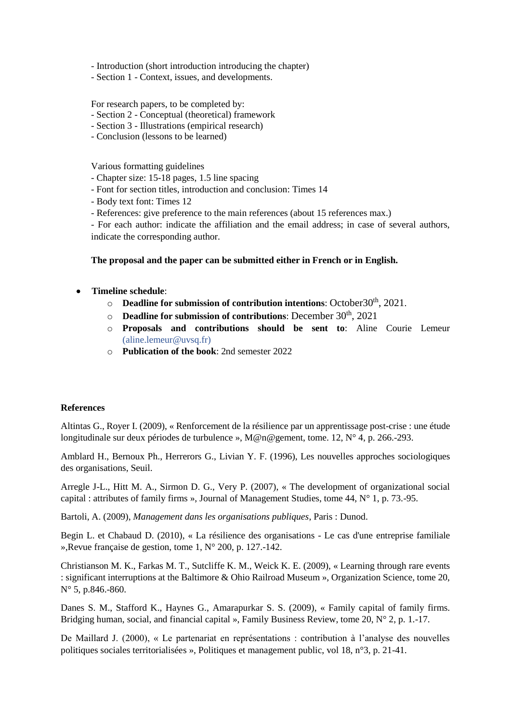- Introduction (short introduction introducing the chapter)
- Section 1 Context, issues, and developments.

For research papers, to be completed by:

- Section 2 Conceptual (theoretical) framework
- Section 3 Illustrations (empirical research)
- Conclusion (lessons to be learned)

Various formatting guidelines

- Chapter size: 15-18 pages, 1.5 line spacing
- Font for section titles, introduction and conclusion: Times 14
- Body text font: Times 12
- References: give preference to the main references (about 15 references max.)

- For each author: indicate the affiliation and the email address; in case of several authors, indicate the corresponding author.

## **The proposal and the paper can be submitted either in French or in English.**

## **Timeline schedule**:

- o **Deadline for submission of contribution intentions**: October30<sup>th</sup>, 2021.
- o **Deadline for submission of contributions**: December 30th , 2021
- o **Proposals and contributions should be sent to**: Aline Courie Lemeur (aline.lemeur@uvsq.fr)
- o **Publication of the book**: 2nd semester 2022

## **References**

Altintas G., Royer I. (2009), « Renforcement de la résilience par un apprentissage post-crise : une étude longitudinale sur deux périodes de turbulence », M@n@gement, tome. 12, N° 4, p. 266.-293.

Amblard H., Bernoux Ph., Herrerors G., Livian Y. F. (1996), Les nouvelles approches sociologiques des organisations, Seuil.

Arregle J-L., Hitt M. A., Sirmon D. G., Very P. (2007), « The development of organizational social capital : attributes of family firms », Journal of Management Studies, tome 44, N° 1, p. 73.-95.

Bartoli, A. (2009), *Management dans les organisations publiques*, Paris : Dunod.

Begin L. et Chabaud D. (2010), « La résilience des organisations - Le cas d'une entreprise familiale »,Revue française de gestion, tome 1, N° 200, p. 127.-142.

Christianson M. K., Farkas M. T., Sutcliffe K. M., Weick K. E. (2009), « Learning through rare events : significant interruptions at the Baltimore & Ohio Railroad Museum », Organization Science, tome 20, N° 5, p.846.-860.

Danes S. M., Stafford K., Haynes G., Amarapurkar S. S. (2009), « Family capital of family firms. Bridging human, social, and financial capital », Family Business Review, tome 20,  $N^{\circ}$  2, p. 1.-17.

De Maillard J. (2000), « Le partenariat en représentations : contribution à l'analyse des nouvelles politiques sociales territorialisées », Politiques et management public, vol 18, n°3, p. 21-41.